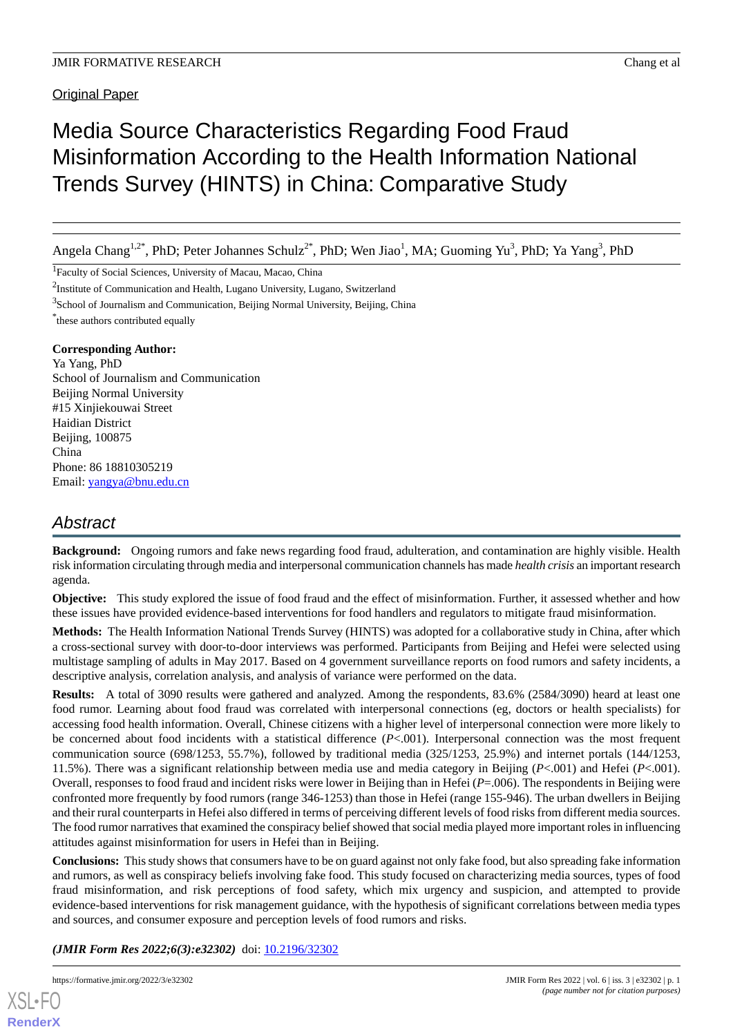# Media Source Characteristics Regarding Food Fraud Misinformation According to the Health Information National Trends Survey (HINTS) in China: Comparative Study

Angela Chang<sup>1,2\*</sup>, PhD; Peter Johannes Schulz<sup>2\*</sup>, PhD; Wen Jiao<sup>1</sup>, MA; Guoming Yu<sup>3</sup>, PhD; Ya Yang<sup>3</sup>, PhD

<sup>1</sup>Faculty of Social Sciences, University of Macau, Macao, China

<sup>2</sup>Institute of Communication and Health, Lugano University, Lugano, Switzerland

<sup>3</sup>School of Journalism and Communication, Beijing Normal University, Beijing, China

\* these authors contributed equally

## **Corresponding Author:**

Ya Yang, PhD School of Journalism and Communication Beijing Normal University #15 Xinjiekouwai Street Haidian District Beijing, 100875 China Phone: 86 18810305219 Email: [yangya@bnu.edu.cn](mailto:yangya@bnu.edu.cn)

## *Abstract*

**Background:** Ongoing rumors and fake news regarding food fraud, adulteration, and contamination are highly visible. Health risk information circulating through media and interpersonal communication channels has made *health crisis* an important research agenda.

**Objective:** This study explored the issue of food fraud and the effect of misinformation. Further, it assessed whether and how these issues have provided evidence-based interventions for food handlers and regulators to mitigate fraud misinformation.

**Methods:** The Health Information National Trends Survey (HINTS) was adopted for a collaborative study in China, after which a cross-sectional survey with door-to-door interviews was performed. Participants from Beijing and Hefei were selected using multistage sampling of adults in May 2017. Based on 4 government surveillance reports on food rumors and safety incidents, a descriptive analysis, correlation analysis, and analysis of variance were performed on the data.

**Results:** A total of 3090 results were gathered and analyzed. Among the respondents, 83.6% (2584/3090) heard at least one food rumor. Learning about food fraud was correlated with interpersonal connections (eg, doctors or health specialists) for accessing food health information. Overall, Chinese citizens with a higher level of interpersonal connection were more likely to be concerned about food incidents with a statistical difference (*P*<.001). Interpersonal connection was the most frequent communication source (698/1253, 55.7%), followed by traditional media (325/1253, 25.9%) and internet portals (144/1253, 11.5%). There was a significant relationship between media use and media category in Beijing (*P*<.001) and Hefei (*P*<.001). Overall, responses to food fraud and incident risks were lower in Beijing than in Hefei (*P*=.006). The respondents in Beijing were confronted more frequently by food rumors (range 346-1253) than those in Hefei (range 155-946). The urban dwellers in Beijing and their rural counterparts in Hefei also differed in terms of perceiving different levels of food risks from different media sources. The food rumor narratives that examined the conspiracy belief showed that social media played more important roles in influencing attitudes against misinformation for users in Hefei than in Beijing.

**Conclusions:** This study shows that consumers have to be on guard against not only fake food, but also spreading fake information and rumors, as well as conspiracy beliefs involving fake food. This study focused on characterizing media sources, types of food fraud misinformation, and risk perceptions of food safety, which mix urgency and suspicion, and attempted to provide evidence-based interventions for risk management guidance, with the hypothesis of significant correlations between media types and sources, and consumer exposure and perception levels of food rumors and risks.

(JMIR Form Res 2022;6(3):e32302) doi: [10.2196/32302](http://dx.doi.org/10.2196/32302)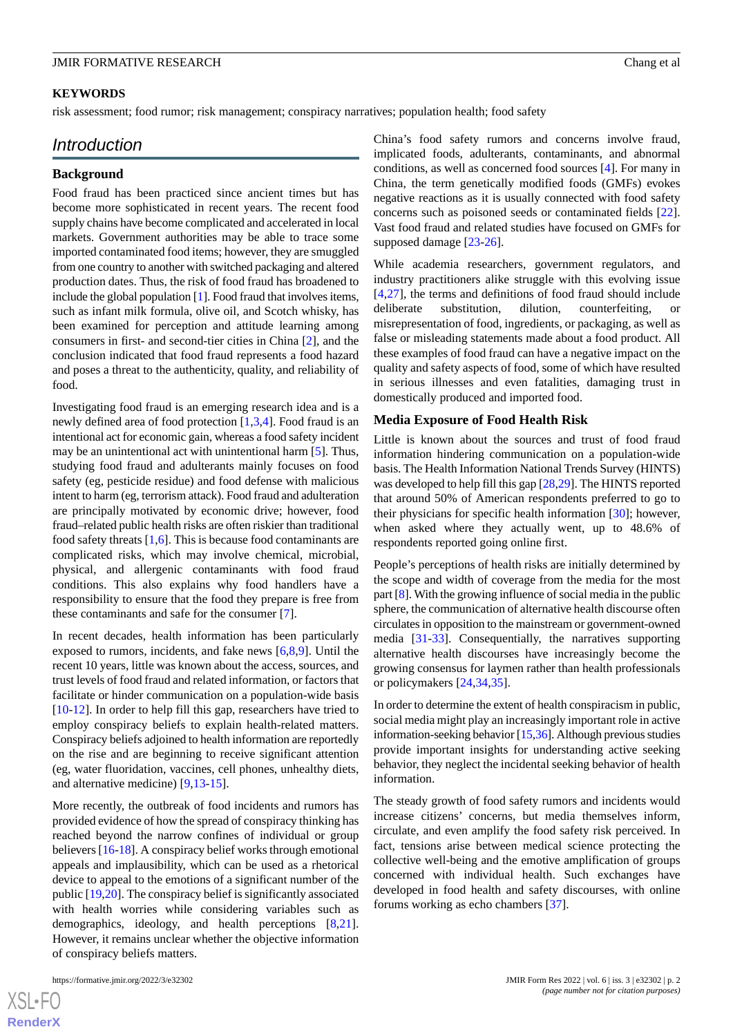#### **KEYWORDS**

risk assessment; food rumor; risk management; conspiracy narratives; population health; food safety

## *Introduction*

#### **Background**

Food fraud has been practiced since ancient times but has become more sophisticated in recent years. The recent food supply chains have become complicated and accelerated in local markets. Government authorities may be able to trace some imported contaminated food items; however, they are smuggled from one country to another with switched packaging and altered production dates. Thus, the risk of food fraud has broadened to include the global population [\[1](#page-9-0)]. Food fraud that involves items, such as infant milk formula, olive oil, and Scotch whisky, has been examined for perception and attitude learning among consumers in first- and second-tier cities in China [[2\]](#page-9-1), and the conclusion indicated that food fraud represents a food hazard and poses a threat to the authenticity, quality, and reliability of food.

Investigating food fraud is an emerging research idea and is a newly defined area of food protection [\[1](#page-9-0),[3](#page-9-2)[,4](#page-9-3)]. Food fraud is an intentional act for economic gain, whereas a food safety incident may be an unintentional act with unintentional harm [[5\]](#page-9-4). Thus, studying food fraud and adulterants mainly focuses on food safety (eg, pesticide residue) and food defense with malicious intent to harm (eg, terrorism attack). Food fraud and adulteration are principally motivated by economic drive; however, food fraud–related public health risks are often riskier than traditional food safety threats  $[1,6]$  $[1,6]$  $[1,6]$  $[1,6]$ . This is because food contaminants are complicated risks, which may involve chemical, microbial, physical, and allergenic contaminants with food fraud conditions. This also explains why food handlers have a responsibility to ensure that the food they prepare is free from these contaminants and safe for the consumer [\[7\]](#page-9-6).

In recent decades, health information has been particularly exposed to rumors, incidents, and fake news [\[6](#page-9-5),[8](#page-9-7)[,9](#page-9-8)]. Until the recent 10 years, little was known about the access, sources, and trust levels of food fraud and related information, or factors that facilitate or hinder communication on a population-wide basis [[10](#page-9-9)[-12](#page-10-0)]. In order to help fill this gap, researchers have tried to employ conspiracy beliefs to explain health-related matters. Conspiracy beliefs adjoined to health information are reportedly on the rise and are beginning to receive significant attention (eg, water fluoridation, vaccines, cell phones, unhealthy diets, and alternative medicine) [[9,](#page-9-8)[13](#page-10-1)[-15](#page-10-2)].

More recently, the outbreak of food incidents and rumors has provided evidence of how the spread of conspiracy thinking has reached beyond the narrow confines of individual or group believers [\[16](#page-10-3)[-18](#page-10-4)]. A conspiracy belief works through emotional appeals and implausibility, which can be used as a rhetorical device to appeal to the emotions of a significant number of the public [[19](#page-10-5)[,20](#page-10-6)]. The conspiracy belief is significantly associated with health worries while considering variables such as demographics, ideology, and health perceptions [\[8](#page-9-7),[21\]](#page-10-7). However, it remains unclear whether the objective information of conspiracy beliefs matters.

China's food safety rumors and concerns involve fraud, implicated foods, adulterants, contaminants, and abnormal conditions, as well as concerned food sources [\[4](#page-9-3)]. For many in China, the term genetically modified foods (GMFs) evokes negative reactions as it is usually connected with food safety concerns such as poisoned seeds or contaminated fields [[22\]](#page-10-8). Vast food fraud and related studies have focused on GMFs for supposed damage [\[23](#page-10-9)-[26\]](#page-10-10).

While academia researchers, government regulators, and industry practitioners alike struggle with this evolving issue [[4](#page-9-3)[,27](#page-10-11)], the terms and definitions of food fraud should include deliberate substitution, dilution, counterfeiting, or misrepresentation of food, ingredients, or packaging, as well as false or misleading statements made about a food product. All these examples of food fraud can have a negative impact on the quality and safety aspects of food, some of which have resulted in serious illnesses and even fatalities, damaging trust in domestically produced and imported food.

#### **Media Exposure of Food Health Risk**

Little is known about the sources and trust of food fraud information hindering communication on a population-wide basis. The Health Information National Trends Survey (HINTS) was developed to help fill this gap [\[28](#page-10-12),[29](#page-10-13)]. The HINTS reported that around 50% of American respondents preferred to go to their physicians for specific health information [\[30](#page-10-14)]; however, when asked where they actually went, up to 48.6% of respondents reported going online first.

People's perceptions of health risks are initially determined by the scope and width of coverage from the media for the most part [\[8\]](#page-9-7). With the growing influence of social media in the public sphere, the communication of alternative health discourse often circulates in opposition to the mainstream or government-owned media [[31-](#page-10-15)[33\]](#page-10-16). Consequentially, the narratives supporting alternative health discourses have increasingly become the growing consensus for laymen rather than health professionals or policymakers [[24](#page-10-17)[,34](#page-10-18),[35\]](#page-10-19).

In order to determine the extent of health conspiracism in public, social media might play an increasingly important role in active information-seeking behavior [\[15,](#page-10-2)[36\]](#page-11-0). Although previous studies provide important insights for understanding active seeking behavior, they neglect the incidental seeking behavior of health information.

The steady growth of food safety rumors and incidents would increase citizens' concerns, but media themselves inform, circulate, and even amplify the food safety risk perceived. In fact, tensions arise between medical science protecting the collective well-being and the emotive amplification of groups concerned with individual health. Such exchanges have developed in food health and safety discourses, with online forums working as echo chambers [[37\]](#page-11-1).

```
XSJ \cdot FRenderX
```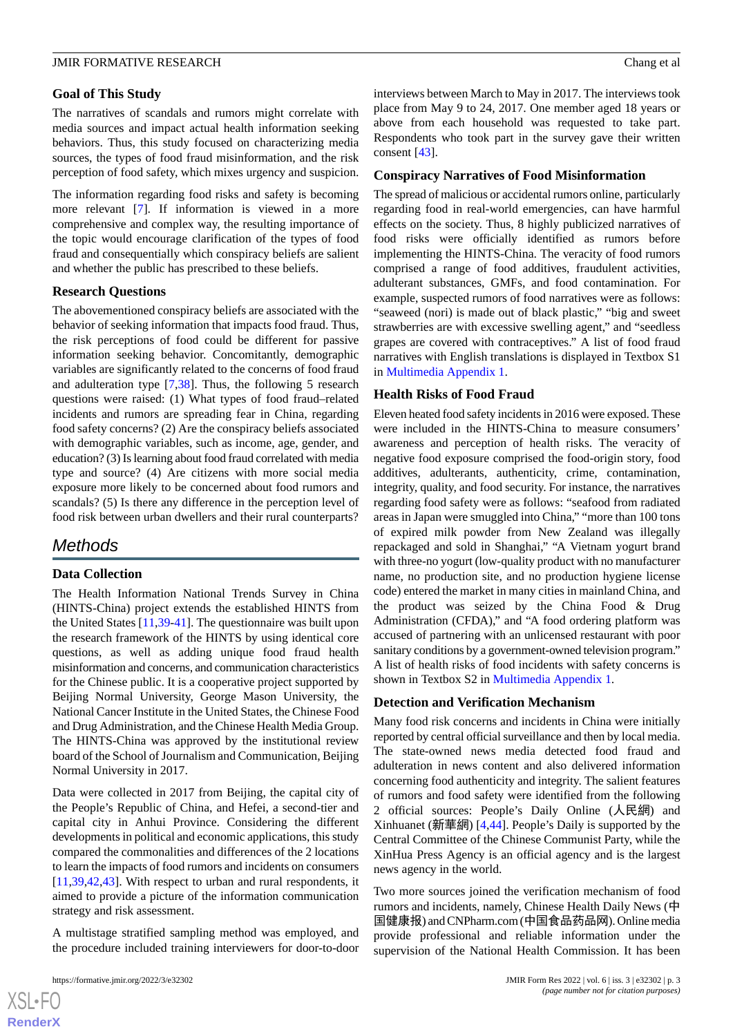## **Goal of This Study**

The narratives of scandals and rumors might correlate with media sources and impact actual health information seeking behaviors. Thus, this study focused on characterizing media sources, the types of food fraud misinformation, and the risk perception of food safety, which mixes urgency and suspicion.

The information regarding food risks and safety is becoming more relevant [[7\]](#page-9-6). If information is viewed in a more comprehensive and complex way, the resulting importance of the topic would encourage clarification of the types of food fraud and consequentially which conspiracy beliefs are salient and whether the public has prescribed to these beliefs.

## **Research Questions**

The abovementioned conspiracy beliefs are associated with the behavior of seeking information that impacts food fraud. Thus, the risk perceptions of food could be different for passive information seeking behavior. Concomitantly, demographic variables are significantly related to the concerns of food fraud and adulteration type [\[7](#page-9-6)[,38](#page-11-2)]. Thus, the following 5 research questions were raised: (1) What types of food fraud–related incidents and rumors are spreading fear in China, regarding food safety concerns? (2) Are the conspiracy beliefs associated with demographic variables, such as income, age, gender, and education? (3) Is learning about food fraud correlated with media type and source? (4) Are citizens with more social media exposure more likely to be concerned about food rumors and scandals? (5) Is there any difference in the perception level of food risk between urban dwellers and their rural counterparts?

## *Methods*

## **Data Collection**

The Health Information National Trends Survey in China (HINTS-China) project extends the established HINTS from the United States [[11](#page-9-10)[,39](#page-11-3)-[41\]](#page-11-4). The questionnaire was built upon the research framework of the HINTS by using identical core questions, as well as adding unique food fraud health misinformation and concerns, and communication characteristics for the Chinese public. It is a cooperative project supported by Beijing Normal University, George Mason University, the National Cancer Institute in the United States, the Chinese Food and Drug Administration, and the Chinese Health Media Group. The HINTS-China was approved by the institutional review board of the School of Journalism and Communication, Beijing Normal University in 2017.

Data were collected in 2017 from Beijing, the capital city of the People's Republic of China, and Hefei, a second-tier and capital city in Anhui Province. Considering the different developments in political and economic applications, this study compared the commonalities and differences of the 2 locations to learn the impacts of food rumors and incidents on consumers [[11](#page-9-10)[,39](#page-11-3),[42](#page-11-5)[,43](#page-11-6)]. With respect to urban and rural respondents, it aimed to provide a picture of the information communication strategy and risk assessment.

A multistage stratified sampling method was employed, and the procedure included training interviewers for door-to-door

interviews between March to May in 2017. The interviews took place from May 9 to 24, 2017. One member aged 18 years or above from each household was requested to take part. Respondents who took part in the survey gave their written consent [\[43](#page-11-6)].

#### **Conspiracy Narratives of Food Misinformation**

The spread of malicious or accidental rumors online, particularly regarding food in real-world emergencies, can have harmful effects on the society. Thus, 8 highly publicized narratives of food risks were officially identified as rumors before implementing the HINTS-China. The veracity of food rumors comprised a range of food additives, fraudulent activities, adulterant substances, GMFs, and food contamination. For example, suspected rumors of food narratives were as follows: "seaweed (nori) is made out of black plastic," "big and sweet strawberries are with excessive swelling agent," and "seedless grapes are covered with contraceptives." A list of food fraud narratives with English translations is displayed in Textbox S1 in [Multimedia Appendix 1](#page-9-11).

#### **Health Risks of Food Fraud**

Eleven heated food safety incidents in 2016 were exposed. These were included in the HINTS-China to measure consumers' awareness and perception of health risks. The veracity of negative food exposure comprised the food-origin story, food additives, adulterants, authenticity, crime, contamination, integrity, quality, and food security. For instance, the narratives regarding food safety were as follows: "seafood from radiated areas in Japan were smuggled into China," "more than 100 tons of expired milk powder from New Zealand was illegally repackaged and sold in Shanghai," "A Vietnam yogurt brand with three-no yogurt (low-quality product with no manufacturer name, no production site, and no production hygiene license code) entered the market in many cities in mainland China, and the product was seized by the China Food & Drug Administration (CFDA)," and "A food ordering platform was accused of partnering with an unlicensed restaurant with poor sanitary conditions by a government-owned television program." A list of health risks of food incidents with safety concerns is shown in Textbox S2 in [Multimedia Appendix 1.](#page-9-11)

#### **Detection and Verification Mechanism**

Many food risk concerns and incidents in China were initially reported by central official surveillance and then by local media. The state-owned news media detected food fraud and adulteration in news content and also delivered information concerning food authenticity and integrity. The salient features of rumors and food safety were identified from the following 2 official sources: People's Daily Online (人民網) and Xinhuanet (新華網) [\[4](#page-9-3),[44\]](#page-11-7). People's Daily is supported by the Central Committee of the Chinese Communist Party, while the XinHua Press Agency is an official agency and is the largest news agency in the world.

Two more sources joined the verification mechanism of food rumors and incidents, namely, Chinese Health Daily News (中 国健康报) and CNPharm.com (中国食品药品网). Online media provide professional and reliable information under the supervision of the National Health Commission. It has been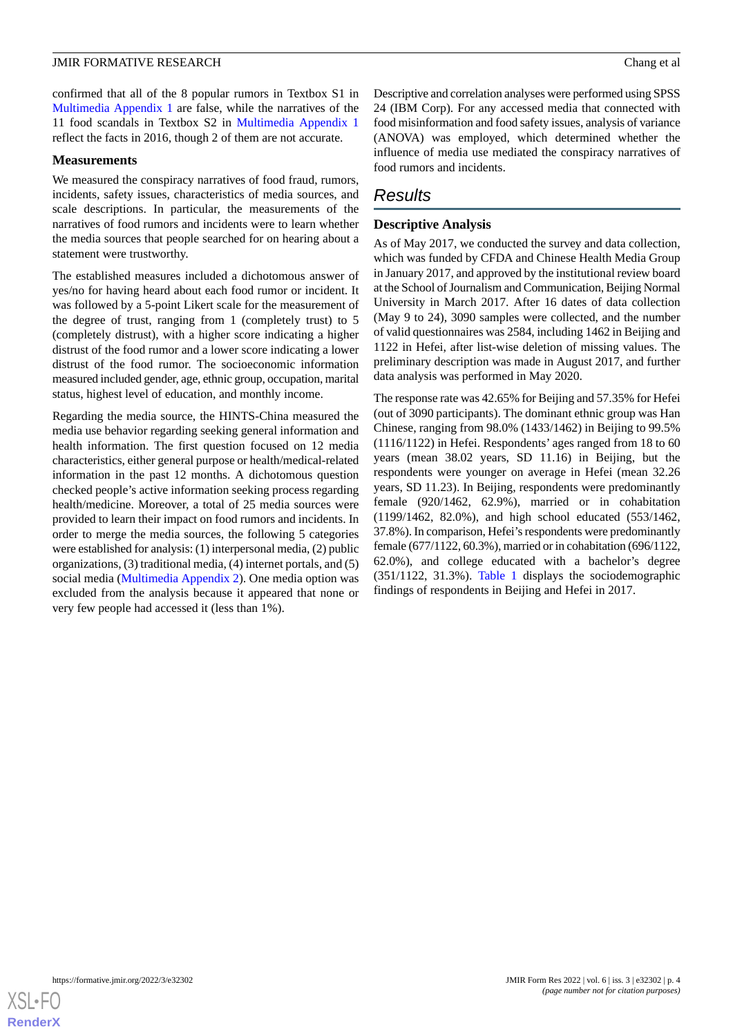confirmed that all of the 8 popular rumors in Textbox S1 in [Multimedia Appendix 1](#page-9-11) are false, while the narratives of the 11 food scandals in Textbox S2 in [Multimedia Appendix 1](#page-9-11) reflect the facts in 2016, though 2 of them are not accurate.

#### **Measurements**

We measured the conspiracy narratives of food fraud, rumors, incidents, safety issues, characteristics of media sources, and scale descriptions. In particular, the measurements of the narratives of food rumors and incidents were to learn whether the media sources that people searched for on hearing about a statement were trustworthy.

The established measures included a dichotomous answer of yes/no for having heard about each food rumor or incident. It was followed by a 5-point Likert scale for the measurement of the degree of trust, ranging from 1 (completely trust) to 5 (completely distrust), with a higher score indicating a higher distrust of the food rumor and a lower score indicating a lower distrust of the food rumor. The socioeconomic information measured included gender, age, ethnic group, occupation, marital status, highest level of education, and monthly income.

Regarding the media source, the HINTS-China measured the media use behavior regarding seeking general information and health information. The first question focused on 12 media characteristics, either general purpose or health/medical-related information in the past 12 months. A dichotomous question checked people's active information seeking process regarding health/medicine. Moreover, a total of 25 media sources were provided to learn their impact on food rumors and incidents. In order to merge the media sources, the following 5 categories were established for analysis: (1) interpersonal media, (2) public organizations, (3) traditional media, (4) internet portals, and (5) social media [\(Multimedia Appendix 2](#page-9-12)). One media option was excluded from the analysis because it appeared that none or very few people had accessed it (less than 1%).

Descriptive and correlation analyses were performed using SPSS 24 (IBM Corp). For any accessed media that connected with food misinformation and food safety issues, analysis of variance (ANOVA) was employed, which determined whether the influence of media use mediated the conspiracy narratives of food rumors and incidents.

## *Results*

#### **Descriptive Analysis**

As of May 2017, we conducted the survey and data collection, which was funded by CFDA and Chinese Health Media Group in January 2017, and approved by the institutional review board at the School of Journalism and Communication, Beijing Normal University in March 2017. After 16 dates of data collection (May 9 to 24), 3090 samples were collected, and the number of valid questionnaires was 2584, including 1462 in Beijing and 1122 in Hefei, after list-wise deletion of missing values. The preliminary description was made in August 2017, and further data analysis was performed in May 2020.

The response rate was 42.65% for Beijing and 57.35% for Hefei (out of 3090 participants). The dominant ethnic group was Han Chinese, ranging from 98.0% (1433/1462) in Beijing to 99.5% (1116/1122) in Hefei. Respondents' ages ranged from 18 to 60 years (mean 38.02 years, SD 11.16) in Beijing, but the respondents were younger on average in Hefei (mean 32.26 years, SD 11.23). In Beijing, respondents were predominantly female (920/1462, 62.9%), married or in cohabitation (1199/1462, 82.0%), and high school educated (553/1462, 37.8%). In comparison, Hefei's respondents were predominantly female (677/1122, 60.3%), married or in cohabitation (696/1122, 62.0%), and college educated with a bachelor's degree (351/1122, 31.3%). [Table 1](#page-4-0) displays the sociodemographic findings of respondents in Beijing and Hefei in 2017.

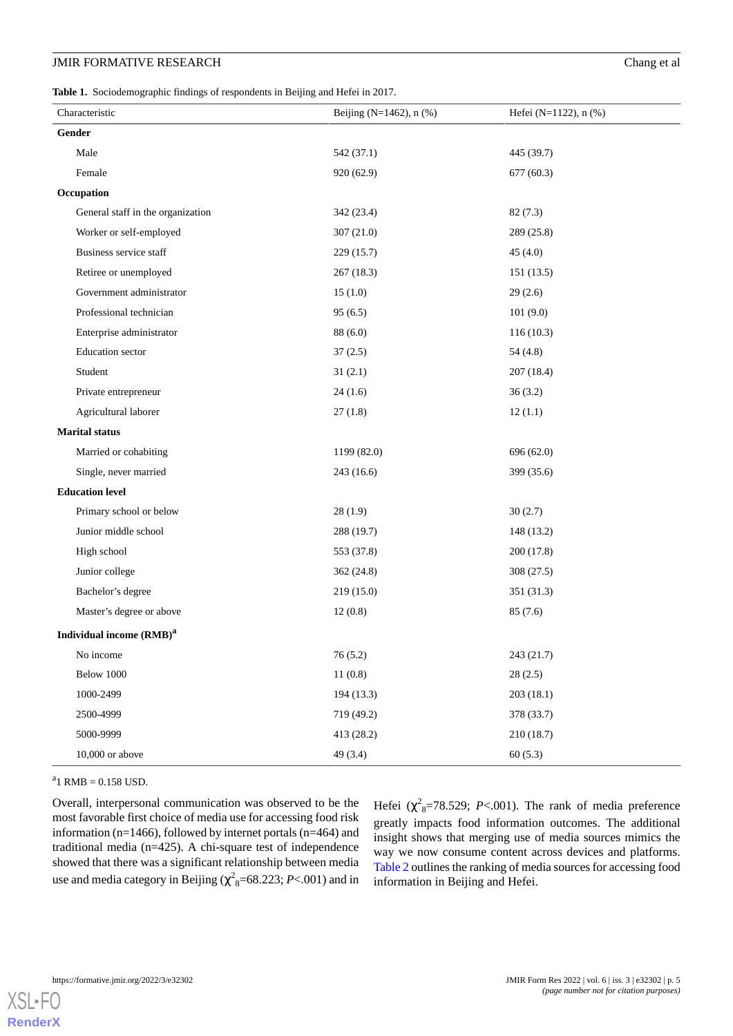<span id="page-4-0"></span>**Table 1.** Sociodemographic findings of respondents in Beijing and Hefei in 2017.

| Characteristic                       | Beijing ( $N=1462$ ), n (%) | Hefei (N=1122), n (%) |
|--------------------------------------|-----------------------------|-----------------------|
| Gender                               |                             |                       |
| Male                                 | 542 (37.1)                  | 445 (39.7)            |
| Female                               | 920 (62.9)                  | 677(60.3)             |
| Occupation                           |                             |                       |
| General staff in the organization    | 342 (23.4)                  | 82(7.3)               |
| Worker or self-employed              | 307(21.0)                   | 289 (25.8)            |
| Business service staff               | 229(15.7)                   | 45(4.0)               |
| Retiree or unemployed                | 267(18.3)                   | 151(13.5)             |
| Government administrator             | 15(1.0)                     | 29(2.6)               |
| Professional technician              | 95(6.5)                     | 101(9.0)              |
| Enterprise administrator             | 88(6.0)                     | 116(10.3)             |
| Education sector                     | 37(2.5)                     | 54 (4.8)              |
| Student                              | 31(2.1)                     | 207(18.4)             |
| Private entrepreneur                 | 24(1.6)                     | 36(3.2)               |
| Agricultural laborer                 | 27(1.8)                     | 12(1.1)               |
| <b>Marital status</b>                |                             |                       |
| Married or cohabiting                | 1199 (82.0)                 | 696 (62.0)            |
| Single, never married                | 243 (16.6)                  | 399 (35.6)            |
| <b>Education level</b>               |                             |                       |
| Primary school or below              | 28(1.9)                     | 30(2.7)               |
| Junior middle school                 | 288 (19.7)                  | 148 (13.2)            |
| High school                          | 553 (37.8)                  | 200(17.8)             |
| Junior college                       | 362 (24.8)                  | 308(27.5)             |
| Bachelor's degree                    | 219 (15.0)                  | 351 (31.3)            |
| Master's degree or above             | 12(0.8)                     | 85(7.6)               |
| Individual income (RMB) <sup>a</sup> |                             |                       |
| No income                            | 76(5.2)                     | 243 (21.7)            |
| Below 1000                           | 11(0.8)                     | 28(2.5)               |
| 1000-2499                            | 194(13.3)                   | 203(18.1)             |
| 2500-4999                            | 719 (49.2)                  | 378 (33.7)            |
| 5000-9999                            | 413 (28.2)                  | 210 (18.7)            |
| $10,000$ or above                    | 49 (3.4)                    | 60(5.3)               |

 $a_1$  RMB = 0.158 USD.

Overall, interpersonal communication was observed to be the most favorable first choice of media use for accessing food risk information (n=1466), followed by internet portals (n=464) and traditional media (n=425). A chi-square test of independence showed that there was a significant relationship between media use and media category in Beijing ( $\chi^2$ <sub>8</sub>=68.223; *P*<.001) and in

Hefei  $(\chi^2_{8} = 78.529; P < .001)$ . The rank of media preference greatly impacts food information outcomes. The additional insight shows that merging use of media sources mimics the way we now consume content across devices and platforms. [Table 2](#page-5-0) outlines the ranking of media sources for accessing food information in Beijing and Hefei.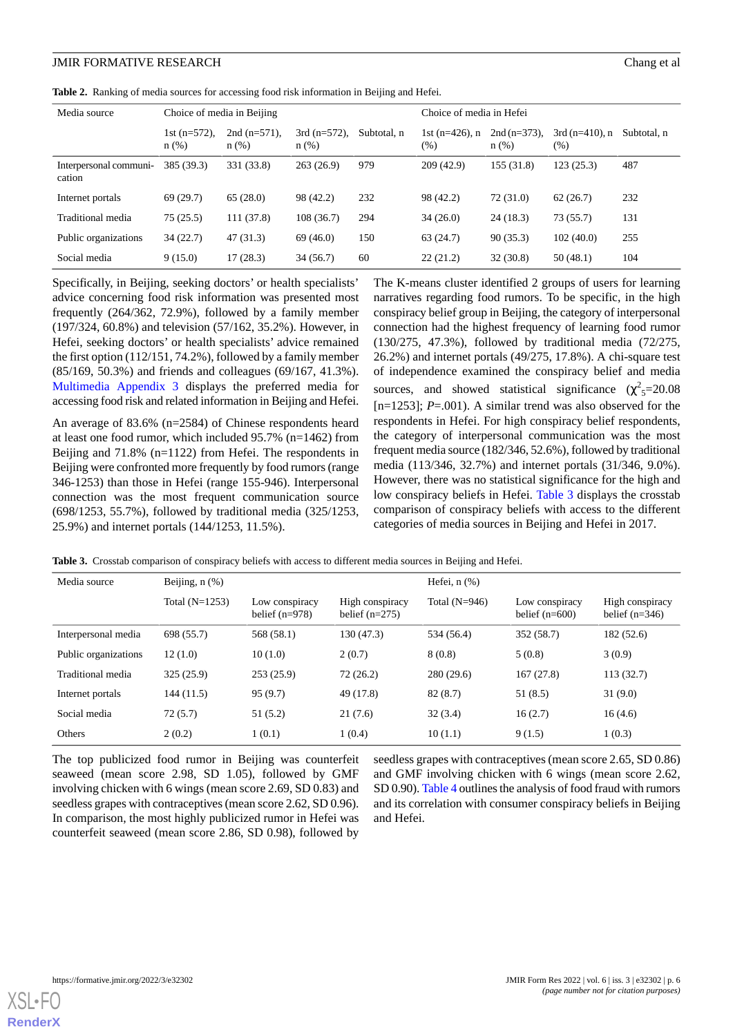<span id="page-5-0"></span>**Table 2.** Ranking of media sources for accessing food risk information in Beijing and Hefei.

| Media source                     | Choice of media in Beijing |                            |                            | Choice of media in Hefei |                           |                         |                           |             |
|----------------------------------|----------------------------|----------------------------|----------------------------|--------------------------|---------------------------|-------------------------|---------------------------|-------------|
|                                  | 1st $(n=572)$ ,<br>n(%)    | 2nd $(n=571)$ ,<br>$n$ (%) | $3rd (n=572)$ ,<br>$n$ (%) | Subtotal, n              | 1st $(n=426)$ , n<br>(% ) | $2nd (n=373)$ ,<br>n(%) | $3rd (n=410)$ , n<br>(% ) | Subtotal, n |
| Interpersonal communi-<br>cation | 385 (39.3)                 | 331 (33.8)                 | 263(26.9)                  | 979                      | 209(42.9)                 | 155(31.8)               | 123(25.3)                 | 487         |
| Internet portals                 | 69(29.7)                   | 65(28.0)                   | 98 (42.2)                  | 232                      | 98 (42.2)                 | 72 (31.0)               | 62(26.7)                  | 232         |
| Traditional media                | 75(25.5)                   | 111(37.8)                  | 108(36.7)                  | 294                      | 34(26.0)                  | 24(18.3)                | 73 (55.7)                 | 131         |
| Public organizations             | 34(22.7)                   | 47 (31.3)                  | 69(46.0)                   | 150                      | 63(24.7)                  | 90(35.3)                | 102(40.0)                 | 255         |
| Social media                     | 9(15.0)                    | 17(28.3)                   | 34(56.7)                   | 60                       | 22(21.2)                  | 32(30.8)                | 50(48.1)                  | 104         |

Specifically, in Beijing, seeking doctors' or health specialists' advice concerning food risk information was presented most frequently (264/362, 72.9%), followed by a family member (197/324, 60.8%) and television (57/162, 35.2%). However, in Hefei, seeking doctors' or health specialists' advice remained the first option (112/151, 74.2%), followed by a family member (85/169, 50.3%) and friends and colleagues (69/167, 41.3%). [Multimedia Appendix 3](#page-9-13) displays the preferred media for accessing food risk and related information in Beijing and Hefei.

An average of 83.6% (n=2584) of Chinese respondents heard at least one food rumor, which included 95.7% (n=1462) from Beijing and 71.8% (n=1122) from Hefei. The respondents in Beijing were confronted more frequently by food rumors (range 346-1253) than those in Hefei (range 155-946). Interpersonal connection was the most frequent communication source (698/1253, 55.7%), followed by traditional media (325/1253, 25.9%) and internet portals (144/1253, 11.5%).

The K-means cluster identified 2 groups of users for learning narratives regarding food rumors. To be specific, in the high conspiracy belief group in Beijing, the category of interpersonal connection had the highest frequency of learning food rumor (130/275, 47.3%), followed by traditional media (72/275, 26.2%) and internet portals (49/275, 17.8%). A chi-square test of independence examined the conspiracy belief and media sources, and showed statistical significance  $(\chi^2_{5}=20.08)$ [n=1253]; *P*=.001). A similar trend was also observed for the respondents in Hefei. For high conspiracy belief respondents, the category of interpersonal communication was the most frequent media source (182/346, 52.6%), followed by traditional media (113/346, 32.7%) and internet portals (31/346, 9.0%). However, there was no statistical significance for the high and low conspiracy beliefs in Hefei. [Table 3](#page-5-1) displays the crosstab comparison of conspiracy beliefs with access to the different categories of media sources in Beijing and Hefei in 2017.

<span id="page-5-1"></span>**Table 3.** Crosstab comparison of conspiracy beliefs with access to different media sources in Beijing and Hefei.

| Media source         | Beijing, $n$ $(\%)$ |                                    |                                     | Hefei, $n$ $(\%)$ |                                    |                                     |  |
|----------------------|---------------------|------------------------------------|-------------------------------------|-------------------|------------------------------------|-------------------------------------|--|
|                      | Total $(N=1253)$    | Low conspiracy<br>belief $(n=978)$ | High conspiracy<br>belief $(n=275)$ | Total $(N=946)$   | Low conspiracy<br>belief $(n=600)$ | High conspiracy<br>belief $(n=346)$ |  |
| Interpersonal media  | 698 (55.7)          | 568 (58.1)                         | 130(47.3)                           | 534 (56.4)        | 352(58.7)                          | 182(52.6)                           |  |
| Public organizations | 12(1.0)             | 10(1.0)                            | 2(0.7)                              | 8(0.8)            | 5(0.8)                             | 3(0.9)                              |  |
| Traditional media    | 325(25.9)           | 253(25.9)                          | 72(26.2)                            | 280(29.6)         | 167(27.8)                          | 113(32.7)                           |  |
| Internet portals     | 144 (11.5)          | 95(9.7)                            | 49 (17.8)                           | 82(8.7)           | 51(8.5)                            | 31(9.0)                             |  |
| Social media         | 72(5.7)             | 51 (5.2)                           | 21(7.6)                             | 32(3.4)           | 16(2.7)                            | 16(4.6)                             |  |
| Others               | 2(0.2)              | 1(0.1)                             | 1(0.4)                              | 10(1.1)           | 9(1.5)                             | 1(0.3)                              |  |

The top publicized food rumor in Beijing was counterfeit seaweed (mean score 2.98, SD 1.05), followed by GMF involving chicken with 6 wings (mean score 2.69, SD 0.83) and seedless grapes with contraceptives (mean score 2.62, SD 0.96). In comparison, the most highly publicized rumor in Hefei was counterfeit seaweed (mean score 2.86, SD 0.98), followed by

seedless grapes with contraceptives (mean score 2.65, SD 0.86) and GMF involving chicken with 6 wings (mean score 2.62, SD 0.90). [Table 4](#page-6-0) outlines the analysis of food fraud with rumors and its correlation with consumer conspiracy beliefs in Beijing and Hefei.

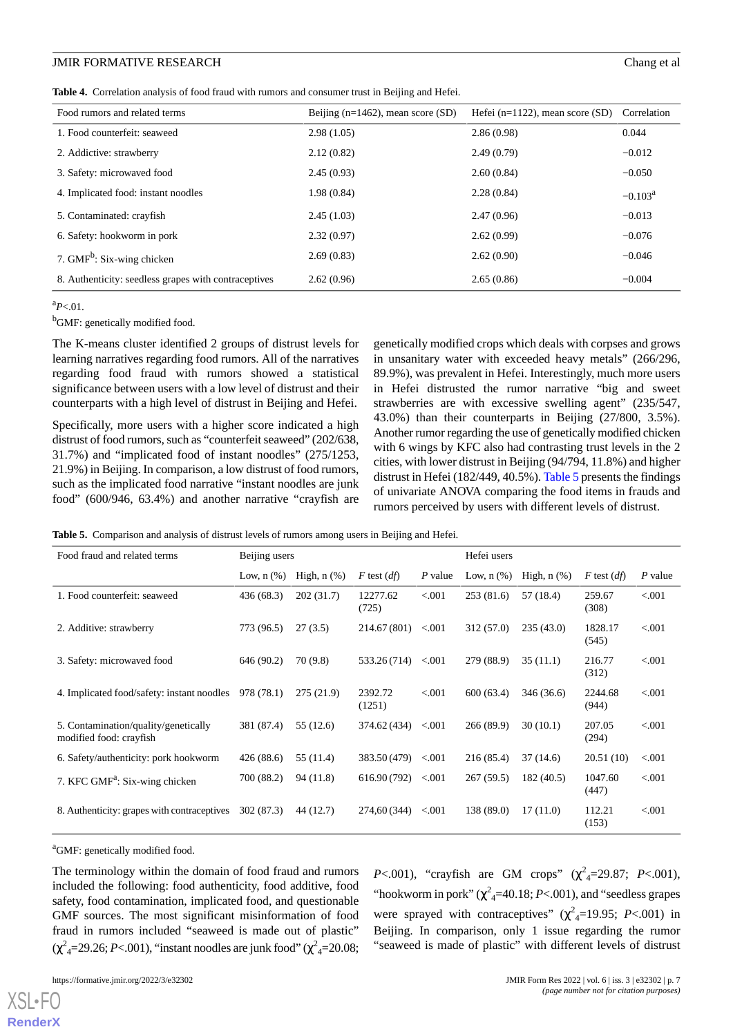<span id="page-6-0"></span>**Table 4.** Correlation analysis of food fraud with rumors and consumer trust in Beijing and Hefei.

| Food rumors and related terms                        | Beijing ( $n=1462$ ), mean score (SD) | Hefei ( $n=1122$ ), mean score (SD) | Correlation      |
|------------------------------------------------------|---------------------------------------|-------------------------------------|------------------|
| 1. Food counterfeit: seaweed                         | 2.98(1.05)                            | 2.86(0.98)                          | 0.044            |
| 2. Addictive: strawberry                             | 2.12(0.82)                            | 2.49(0.79)                          | $-0.012$         |
| 3. Safety: microwaved food                           | 2.45(0.93)                            | 2.60(0.84)                          | $-0.050$         |
| 4. Implicated food: instant noodles                  | 1.98(0.84)                            | 2.28(0.84)                          | $-0.103^{\rm a}$ |
| 5. Contaminated: crayfish                            | 2.45(1.03)                            | 2.47(0.96)                          | $-0.013$         |
| 6. Safety: hookworm in pork                          | 2.32(0.97)                            | 2.62(0.99)                          | $-0.076$         |
| 7. GMF <sup>b</sup> : Six-wing chicken               | 2.69(0.83)                            | 2.62(0.90)                          | $-0.046$         |
| 8. Authenticity: seedless grapes with contraceptives | 2.62(0.96)                            | 2.65(0.86)                          | $-0.004$         |

<sup>a</sup>*P*<.01.

<sup>b</sup>GMF: genetically modified food.

The K-means cluster identified 2 groups of distrust levels for learning narratives regarding food rumors. All of the narratives regarding food fraud with rumors showed a statistical significance between users with a low level of distrust and their counterparts with a high level of distrust in Beijing and Hefei.

Specifically, more users with a higher score indicated a high distrust of food rumors, such as "counterfeit seaweed" (202/638, 31.7%) and "implicated food of instant noodles" (275/1253, 21.9%) in Beijing. In comparison, a low distrust of food rumors, such as the implicated food narrative "instant noodles are junk food" (600/946, 63.4%) and another narrative "crayfish are

genetically modified crops which deals with corpses and grows in unsanitary water with exceeded heavy metals" (266/296, 89.9%), was prevalent in Hefei. Interestingly, much more users in Hefei distrusted the rumor narrative "big and sweet strawberries are with excessive swelling agent" (235/547, 43.0%) than their counterparts in Beijing (27/800, 3.5%). Another rumor regarding the use of genetically modified chicken with 6 wings by KFC also had contrasting trust levels in the 2 cities, with lower distrust in Beijing (94/794, 11.8%) and higher distrust in Hefei (182/449, 40.5%). [Table 5](#page-6-1) presents the findings of univariate ANOVA comparing the food items in frauds and rumors perceived by users with different levels of distrust.

<span id="page-6-1"></span>**Table 5.** Comparison and analysis of distrust levels of rumors among users in Beijing and Hefei.

| Food fraud and related terms                                    | Beijing users   |                  |                   | Hefei users |                 |                  |                  |           |
|-----------------------------------------------------------------|-----------------|------------------|-------------------|-------------|-----------------|------------------|------------------|-----------|
|                                                                 | Low, $n$ $(\%)$ | High, $n$ $(\%)$ | $F$ test $(df)$   | P value     | Low, $n$ $(\%)$ | High, $n$ $(\%)$ | $F$ test $(df)$  | $P$ value |
| 1. Food counterfeit: seaweed                                    | 436(68.3)       | 202(31.7)        | 12277.62<br>(725) | < 0.001     | 253(81.6)       | 57 (18.4)        | 259.67<br>(308)  | < 0.001   |
| 2. Additive: strawberry                                         | 773 (96.5)      | 27(3.5)          | 214.67 (801)      | < 0.001     | 312(57.0)       | 235(43.0)        | 1828.17<br>(545) | < 0.001   |
| 3. Safety: microwaved food                                      | 646 (90.2)      | 70 (9.8)         | 533.26 (714)      | < 0.01      | 279 (88.9)      | 35(11.1)         | 216.77<br>(312)  | < 0.001   |
| 4. Implicated food/safety: instant noodles                      | 978 (78.1)      | 275(21.9)        | 2392.72<br>(1251) | < 0.001     | 600(63.4)       | 346 (36.6)       | 2244.68<br>(944) | < 0.001   |
| 5. Contamination/quality/genetically<br>modified food: crayfish | 381 (87.4)      | 55(12.6)         | 374.62 (434)      | < 0.001     | 266 (89.9)      | 30(10.1)         | 207.05<br>(294)  | < 0.001   |
| 6. Safety/authenticity: pork hookworm                           | 426(88.6)       | 55 (11.4)        | 383.50 (479)      | < 0.001     | 216 (85.4)      | 37(14.6)         | 20.51(10)        | < 0.001   |
| 7. KFC GMF <sup>a</sup> : Six-wing chicken                      | 700 (88.2)      | 94 (11.8)        | 616.90 (792)      | < 0.001     | 267(59.5)       | 182(40.5)        | 1047.60<br>(447) | < 0.001   |
| 8. Authenticity: grapes with contraceptives                     | 302 (87.3)      | 44 (12.7)        | 274,60 (344)      | < 0.001     | 138 (89.0)      | 17(11.0)         | 112.21<br>(153)  | < 0.001   |

<sup>a</sup>GMF: genetically modified food.

The terminology within the domain of food fraud and rumors included the following: food authenticity, food additive, food safety, food contamination, implicated food, and questionable GMF sources. The most significant misinformation of food fraud in rumors included "seaweed is made out of plastic" (χ<sup>2</sup><sub>4</sub>=29.26; *P*<.001), "instant noodles are junk food" (χ<sup>2</sup><sub>4</sub>=20.08;

 $X$ SL•F $O$ **[RenderX](http://www.renderx.com/)** *P*<.001), "crayfish are GM crops"  $(\chi^2_{4} = 29.87; P < .001)$ , "hookworm in pork"  $(\chi^2_{4} = 40.18; P < .001)$ , and "seedless grapes were sprayed with contraceptives"  $(\chi^2_{4} = 19.95; P < .001)$  in Beijing. In comparison, only 1 issue regarding the rumor "seaweed is made of plastic" with different levels of distrust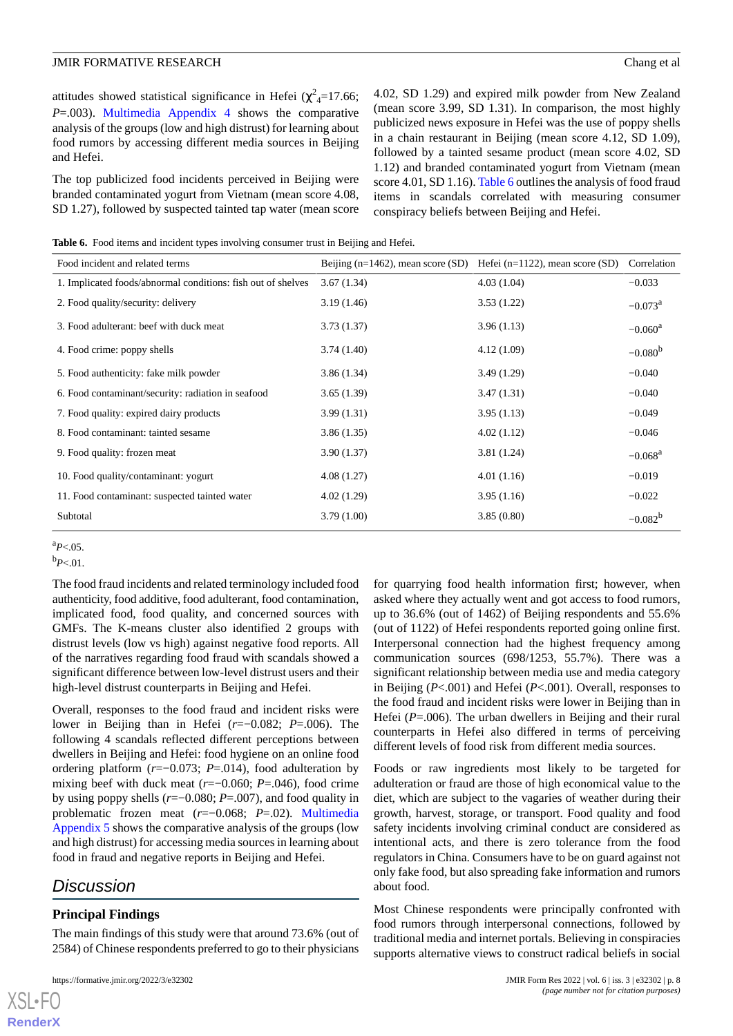attitudes showed statistical significance in Hefei ( $\chi^2$ <sub>4</sub>=17.66; *P*=.003). [Multimedia Appendix 4](#page-9-14) shows the comparative analysis of the groups (low and high distrust) for learning about food rumors by accessing different media sources in Beijing and Hefei.

The top publicized food incidents perceived in Beijing were branded contaminated yogurt from Vietnam (mean score 4.08, SD 1.27), followed by suspected tainted tap water (mean score

4.02, SD 1.29) and expired milk powder from New Zealand (mean score 3.99, SD 1.31). In comparison, the most highly publicized news exposure in Hefei was the use of poppy shells in a chain restaurant in Beijing (mean score 4.12, SD 1.09), followed by a tainted sesame product (mean score 4.02, SD 1.12) and branded contaminated yogurt from Vietnam (mean score 4.01, SD 1.16). [Table 6](#page-7-0) outlines the analysis of food fraud items in scandals correlated with measuring consumer conspiracy beliefs between Beijing and Hefei.

<span id="page-7-0"></span>Table 6. Food items and incident types involving consumer trust in Beijing and Hefei.

| Food incident and related terms                              | Beijing ( $n=1462$ ), mean score (SD) | Hefei ( $n=1122$ ), mean score (SD) | Correlation           |
|--------------------------------------------------------------|---------------------------------------|-------------------------------------|-----------------------|
| 1. Implicated foods/abnormal conditions: fish out of shelves | 3.67(1.34)                            | 4.03(1.04)                          | $-0.033$              |
| 2. Food quality/security: delivery                           | 3.19(1.46)                            | 3.53(1.22)                          | $-0.073$ <sup>a</sup> |
| 3. Food adulterant: beef with duck meat                      | 3.73(1.37)                            | 3.96(1.13)                          | $-0.060^{\rm a}$      |
| 4. Food crime: poppy shells                                  | 3.74 (1.40)                           | 4.12(1.09)                          | $-0.080^{b}$          |
| 5. Food authenticity: fake milk powder                       | 3.86(1.34)                            | 3.49(1.29)                          | $-0.040$              |
| 6. Food contaminant/security: radiation in seafood           | 3.65(1.39)                            | 3.47(1.31)                          | $-0.040$              |
| 7. Food quality: expired dairy products                      | 3.99(1.31)                            | 3.95(1.13)                          | $-0.049$              |
| 8. Food contaminant: tainted sesame                          | 3.86(1.35)                            | 4.02(1.12)                          | $-0.046$              |
| 9. Food quality: frozen meat                                 | 3.90 (1.37)                           | 3.81(1.24)                          | $-0.068$ <sup>a</sup> |
| 10. Food quality/contaminant: yogurt                         | 4.08(1.27)                            | 4.01(1.16)                          | $-0.019$              |
| 11. Food contaminant: suspected tainted water                | 4.02 (1.29)                           | 3.95(1.16)                          | $-0.022$              |
| Subtotal                                                     | 3.79(1.00)                            | 3.85(0.80)                          | $-0.082^{b}$          |

 $^{a}P<.05$ .

 $b_{P<.01}$ .

The food fraud incidents and related terminology included food authenticity, food additive, food adulterant, food contamination, implicated food, food quality, and concerned sources with GMFs. The K-means cluster also identified 2 groups with distrust levels (low vs high) against negative food reports. All of the narratives regarding food fraud with scandals showed a significant difference between low-level distrust users and their high-level distrust counterparts in Beijing and Hefei.

Overall, responses to the food fraud and incident risks were lower in Beijing than in Hefei (*r*=−0.082; *P*=.006). The following 4 scandals reflected different perceptions between dwellers in Beijing and Hefei: food hygiene on an online food ordering platform (*r*=−0.073; *P*=.014), food adulteration by mixing beef with duck meat (*r*=−0.060; *P*=.046), food crime by using poppy shells (*r*=−0.080; *P*=.007), and food quality in problematic frozen meat (*r*=−0.068; *P*=.02). [Multimedia](#page-9-15) [Appendix 5](#page-9-15) shows the comparative analysis of the groups (low and high distrust) for accessing media sources in learning about food in fraud and negative reports in Beijing and Hefei.

## *Discussion*

[XSL](http://www.w3.org/Style/XSL)•FO **[RenderX](http://www.renderx.com/)**

## **Principal Findings**

The main findings of this study were that around 73.6% (out of 2584) of Chinese respondents preferred to go to their physicians

for quarrying food health information first; however, when asked where they actually went and got access to food rumors, up to 36.6% (out of 1462) of Beijing respondents and 55.6% (out of 1122) of Hefei respondents reported going online first. Interpersonal connection had the highest frequency among communication sources (698/1253, 55.7%). There was a significant relationship between media use and media category in Beijing (*P*<.001) and Hefei (*P*<.001). Overall, responses to the food fraud and incident risks were lower in Beijing than in Hefei (*P*=.006). The urban dwellers in Beijing and their rural counterparts in Hefei also differed in terms of perceiving different levels of food risk from different media sources.

Foods or raw ingredients most likely to be targeted for adulteration or fraud are those of high economical value to the diet, which are subject to the vagaries of weather during their growth, harvest, storage, or transport. Food quality and food safety incidents involving criminal conduct are considered as intentional acts, and there is zero tolerance from the food regulators in China. Consumers have to be on guard against not only fake food, but also spreading fake information and rumors about food.

Most Chinese respondents were principally confronted with food rumors through interpersonal connections, followed by traditional media and internet portals. Believing in conspiracies supports alternative views to construct radical beliefs in social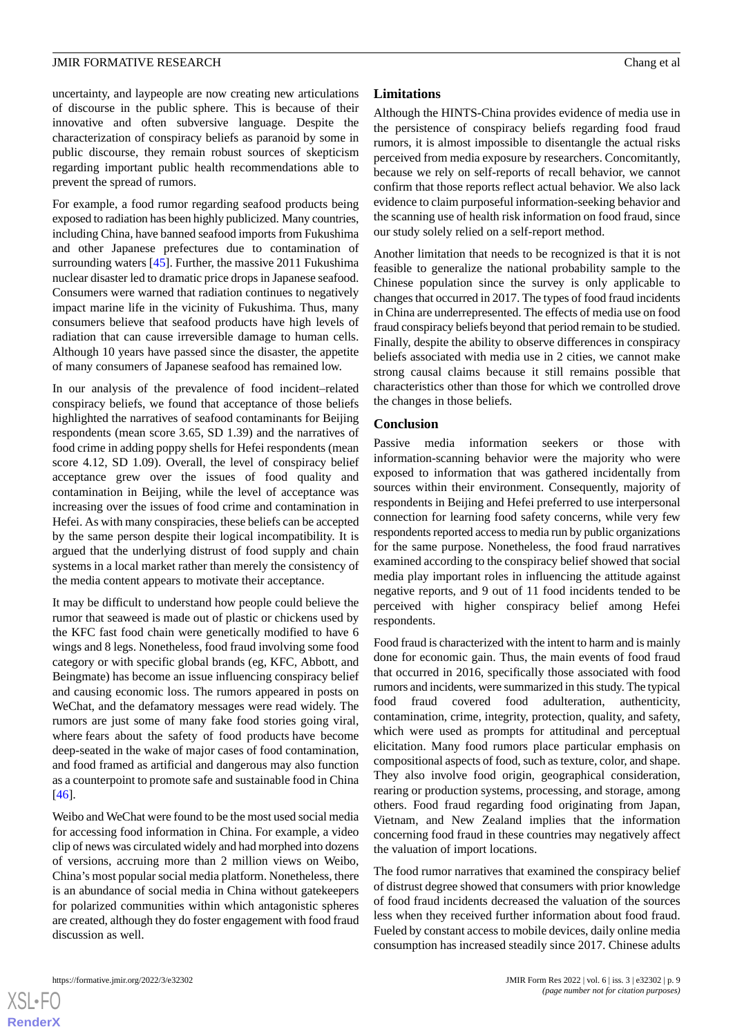uncertainty, and laypeople are now creating new articulations of discourse in the public sphere. This is because of their innovative and often subversive language. Despite the characterization of conspiracy beliefs as paranoid by some in public discourse, they remain robust sources of skepticism regarding important public health recommendations able to prevent the spread of rumors.

For example, a food rumor regarding seafood products being exposed to radiation has been highly publicized. Many countries, including China, have banned seafood imports from Fukushima and other Japanese prefectures due to contamination of surrounding waters [\[45](#page-11-8)]. Further, the massive 2011 Fukushima nuclear disaster led to dramatic price drops in Japanese seafood. Consumers were warned that radiation continues to negatively impact marine life in the vicinity of Fukushima. Thus, many consumers believe that seafood products have high levels of radiation that can cause irreversible damage to human cells. Although 10 years have passed since the disaster, the appetite of many consumers of Japanese seafood has remained low.

In our analysis of the prevalence of food incident–related conspiracy beliefs, we found that acceptance of those beliefs highlighted the narratives of seafood contaminants for Beijing respondents (mean score 3.65, SD 1.39) and the narratives of food crime in adding poppy shells for Hefei respondents (mean score 4.12, SD 1.09). Overall, the level of conspiracy belief acceptance grew over the issues of food quality and contamination in Beijing, while the level of acceptance was increasing over the issues of food crime and contamination in Hefei. As with many conspiracies, these beliefs can be accepted by the same person despite their logical incompatibility. It is argued that the underlying distrust of food supply and chain systems in a local market rather than merely the consistency of the media content appears to motivate their acceptance.

It may be difficult to understand how people could believe the rumor that seaweed is made out of plastic or chickens used by the KFC fast food chain were genetically modified to have 6 wings and 8 legs. Nonetheless, food fraud involving some food category or with specific global brands (eg, KFC, Abbott, and Beingmate) has become an issue influencing conspiracy belief and causing economic loss. The rumors appeared in posts on WeChat, and the defamatory messages were read widely. The rumors are just some of many fake food stories going viral, where fears about the safety of food products have become deep-seated in the wake of major cases of food contamination, and food framed as artificial and dangerous may also function as a counterpoint to promote safe and sustainable food in China [[46\]](#page-11-9).

Weibo and WeChat were found to be the most used social media for accessing food information in China. For example, a video clip of news was circulated widely and had morphed into dozens of versions, accruing more than 2 million views on Weibo, China's most popular social media platform. Nonetheless, there is an abundance of social media in China without gatekeepers for polarized communities within which antagonistic spheres are created, although they do foster engagement with food fraud discussion as well.

#### **Limitations**

Although the HINTS-China provides evidence of media use in the persistence of conspiracy beliefs regarding food fraud rumors, it is almost impossible to disentangle the actual risks perceived from media exposure by researchers. Concomitantly, because we rely on self-reports of recall behavior, we cannot confirm that those reports reflect actual behavior. We also lack evidence to claim purposeful information-seeking behavior and the scanning use of health risk information on food fraud, since our study solely relied on a self-report method.

Another limitation that needs to be recognized is that it is not feasible to generalize the national probability sample to the Chinese population since the survey is only applicable to changes that occurred in 2017. The types of food fraud incidents in China are underrepresented. The effects of media use on food fraud conspiracy beliefs beyond that period remain to be studied. Finally, despite the ability to observe differences in conspiracy beliefs associated with media use in 2 cities, we cannot make strong causal claims because it still remains possible that characteristics other than those for which we controlled drove the changes in those beliefs.

#### **Conclusion**

Passive media information seekers or those with information-scanning behavior were the majority who were exposed to information that was gathered incidentally from sources within their environment. Consequently, majority of respondents in Beijing and Hefei preferred to use interpersonal connection for learning food safety concerns, while very few respondents reported access to media run by public organizations for the same purpose. Nonetheless, the food fraud narratives examined according to the conspiracy belief showed that social media play important roles in influencing the attitude against negative reports, and 9 out of 11 food incidents tended to be perceived with higher conspiracy belief among Hefei respondents.

Food fraud is characterized with the intent to harm and is mainly done for economic gain. Thus, the main events of food fraud that occurred in 2016, specifically those associated with food rumors and incidents, were summarized in this study. The typical food fraud covered food adulteration, authenticity, contamination, crime, integrity, protection, quality, and safety, which were used as prompts for attitudinal and perceptual elicitation. Many food rumors place particular emphasis on compositional aspects of food, such as texture, color, and shape. They also involve food origin, geographical consideration, rearing or production systems, processing, and storage, among others. Food fraud regarding food originating from Japan, Vietnam, and New Zealand implies that the information concerning food fraud in these countries may negatively affect the valuation of import locations.

The food rumor narratives that examined the conspiracy belief of distrust degree showed that consumers with prior knowledge of food fraud incidents decreased the valuation of the sources less when they received further information about food fraud. Fueled by constant access to mobile devices, daily online media consumption has increased steadily since 2017. Chinese adults

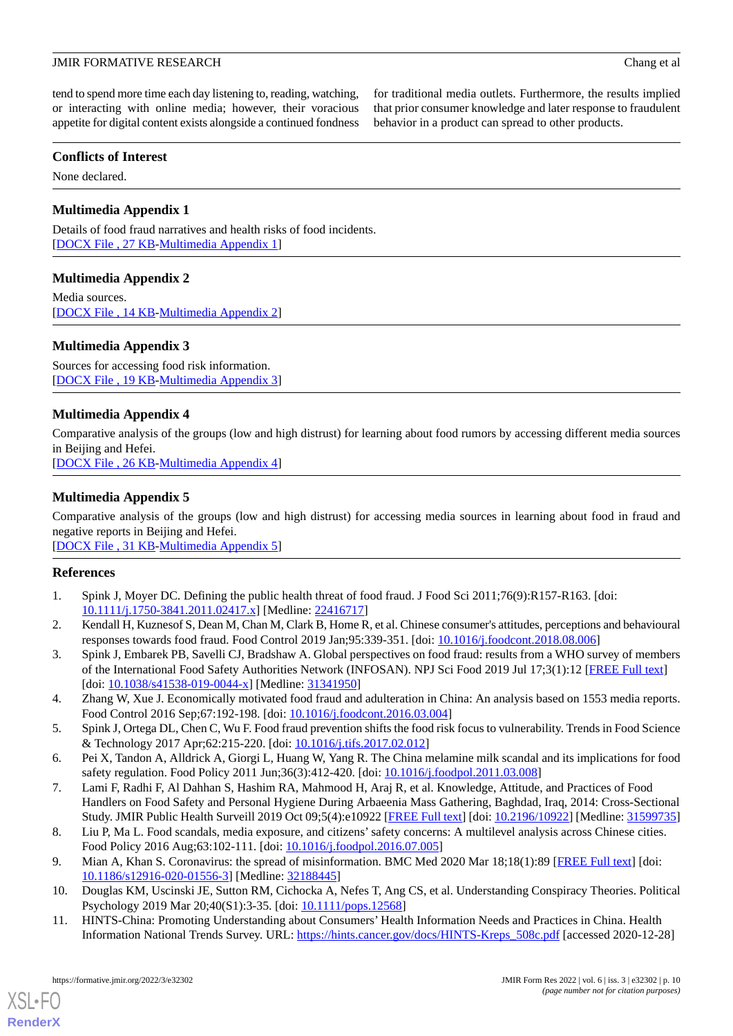for traditional media outlets. Furthermore, the results implied that prior consumer knowledge and later response to fraudulent

behavior in a product can spread to other products.

tend to spend more time each day listening to, reading, watching, or interacting with online media; however, their voracious appetite for digital content exists alongside a continued fondness

**Conflicts of Interest**

<span id="page-9-11"></span>None declared.

## **Multimedia Appendix 1**

<span id="page-9-12"></span>Details of food fraud narratives and health risks of food incidents. [[DOCX File , 27 KB](https://jmir.org/api/download?alt_name=formative_v6i3e32302_app1.docx&filename=c4c956c9af5569890a9a29d109abf5b7.docx)-[Multimedia Appendix 1\]](https://jmir.org/api/download?alt_name=formative_v6i3e32302_app1.docx&filename=c4c956c9af5569890a9a29d109abf5b7.docx)

## **Multimedia Appendix 2**

<span id="page-9-13"></span>Media sources. [[DOCX File , 14 KB](https://jmir.org/api/download?alt_name=formative_v6i3e32302_app2.docx&filename=08c02632ccbbe9096f9468941e57b7b2.docx)-[Multimedia Appendix 2\]](https://jmir.org/api/download?alt_name=formative_v6i3e32302_app2.docx&filename=08c02632ccbbe9096f9468941e57b7b2.docx)

## **Multimedia Appendix 3**

<span id="page-9-14"></span>Sources for accessing food risk information. [[DOCX File , 19 KB](https://jmir.org/api/download?alt_name=formative_v6i3e32302_app3.docx&filename=7f06f651b4fdf2badb9bb5d244c40745.docx)-[Multimedia Appendix 3\]](https://jmir.org/api/download?alt_name=formative_v6i3e32302_app3.docx&filename=7f06f651b4fdf2badb9bb5d244c40745.docx)

## **Multimedia Appendix 4**

<span id="page-9-15"></span>Comparative analysis of the groups (low and high distrust) for learning about food rumors by accessing different media sources in Beijing and Hefei.

[[DOCX File , 26 KB](https://jmir.org/api/download?alt_name=formative_v6i3e32302_app4.docx&filename=9a0a380d25731b2cf262b252387c435c.docx)-[Multimedia Appendix 4\]](https://jmir.org/api/download?alt_name=formative_v6i3e32302_app4.docx&filename=9a0a380d25731b2cf262b252387c435c.docx)

## **Multimedia Appendix 5**

Comparative analysis of the groups (low and high distrust) for accessing media sources in learning about food in fraud and negative reports in Beijing and Hefei.

<span id="page-9-0"></span>[[DOCX File , 31 KB](https://jmir.org/api/download?alt_name=formative_v6i3e32302_app5.docx&filename=3dd72259ec8b3c997ce0d163c52cc980.docx)-[Multimedia Appendix 5\]](https://jmir.org/api/download?alt_name=formative_v6i3e32302_app5.docx&filename=3dd72259ec8b3c997ce0d163c52cc980.docx)

## <span id="page-9-1"></span>**References**

- <span id="page-9-2"></span>1. Spink J, Moyer DC. Defining the public health threat of food fraud. J Food Sci 2011;76(9):R157-R163. [doi: [10.1111/j.1750-3841.2011.02417.x\]](http://dx.doi.org/10.1111/j.1750-3841.2011.02417.x) [Medline: [22416717\]](http://www.ncbi.nlm.nih.gov/entrez/query.fcgi?cmd=Retrieve&db=PubMed&list_uids=22416717&dopt=Abstract)
- <span id="page-9-3"></span>2. Kendall H, Kuznesof S, Dean M, Chan M, Clark B, Home R, et al. Chinese consumer's attitudes, perceptions and behavioural responses towards food fraud. Food Control 2019 Jan;95:339-351. [doi: [10.1016/j.foodcont.2018.08.006](http://dx.doi.org/10.1016/j.foodcont.2018.08.006)]
- <span id="page-9-4"></span>3. Spink J, Embarek PB, Savelli CJ, Bradshaw A. Global perspectives on food fraud: results from a WHO survey of members of the International Food Safety Authorities Network (INFOSAN). NPJ Sci Food 2019 Jul 17;3(1):12 [[FREE Full text](https://doi.org/10.1038/s41538-019-0044-x)] [doi: [10.1038/s41538-019-0044-x](http://dx.doi.org/10.1038/s41538-019-0044-x)] [Medline: [31341950\]](http://www.ncbi.nlm.nih.gov/entrez/query.fcgi?cmd=Retrieve&db=PubMed&list_uids=31341950&dopt=Abstract)
- <span id="page-9-6"></span><span id="page-9-5"></span>4. Zhang W, Xue J. Economically motivated food fraud and adulteration in China: An analysis based on 1553 media reports. Food Control 2016 Sep;67:192-198. [doi: [10.1016/j.foodcont.2016.03.004\]](http://dx.doi.org/10.1016/j.foodcont.2016.03.004)
- 5. Spink J, Ortega DL, Chen C, Wu F. Food fraud prevention shifts the food risk focus to vulnerability. Trends in Food Science & Technology 2017 Apr;62:215-220. [doi: [10.1016/j.tifs.2017.02.012\]](http://dx.doi.org/10.1016/j.tifs.2017.02.012)
- <span id="page-9-7"></span>6. Pei X, Tandon A, Alldrick A, Giorgi L, Huang W, Yang R. The China melamine milk scandal and its implications for food safety regulation. Food Policy 2011 Jun;36(3):412-420. [doi: [10.1016/j.foodpol.2011.03.008\]](http://dx.doi.org/10.1016/j.foodpol.2011.03.008)
- <span id="page-9-9"></span><span id="page-9-8"></span>7. Lami F, Radhi F, Al Dahhan S, Hashim RA, Mahmood H, Araj R, et al. Knowledge, Attitude, and Practices of Food Handlers on Food Safety and Personal Hygiene During Arbaeenia Mass Gathering, Baghdad, Iraq, 2014: Cross-Sectional Study. JMIR Public Health Surveill 2019 Oct 09;5(4):e10922 [\[FREE Full text](https://publichealth.jmir.org/2019/4/e10922/)] [doi: [10.2196/10922](http://dx.doi.org/10.2196/10922)] [Medline: [31599735](http://www.ncbi.nlm.nih.gov/entrez/query.fcgi?cmd=Retrieve&db=PubMed&list_uids=31599735&dopt=Abstract)]
- <span id="page-9-10"></span>8. Liu P, Ma L. Food scandals, media exposure, and citizens'safety concerns: A multilevel analysis across Chinese cities. Food Policy 2016 Aug;63:102-111. [doi: [10.1016/j.foodpol.2016.07.005](http://dx.doi.org/10.1016/j.foodpol.2016.07.005)]
- 9. Mian A, Khan S. Coronavirus: the spread of misinformation. BMC Med 2020 Mar 18;18(1):89 [[FREE Full text](https://bmcmedicine.biomedcentral.com/articles/10.1186/s12916-020-01556-3)] [doi: [10.1186/s12916-020-01556-3\]](http://dx.doi.org/10.1186/s12916-020-01556-3) [Medline: [32188445\]](http://www.ncbi.nlm.nih.gov/entrez/query.fcgi?cmd=Retrieve&db=PubMed&list_uids=32188445&dopt=Abstract)
- 10. Douglas KM, Uscinski JE, Sutton RM, Cichocka A, Nefes T, Ang CS, et al. Understanding Conspiracy Theories. Political Psychology 2019 Mar 20;40(S1):3-35. [doi: [10.1111/pops.12568](http://dx.doi.org/10.1111/pops.12568)]
- 11. HINTS-China: Promoting Understanding about Consumers' Health Information Needs and Practices in China. Health Information National Trends Survey. URL: [https://hints.cancer.gov/docs/HINTS-Kreps\\_508c.pdf](https://hints.cancer.gov/docs/HINTS-Kreps_508c.pdf) [accessed 2020-12-28]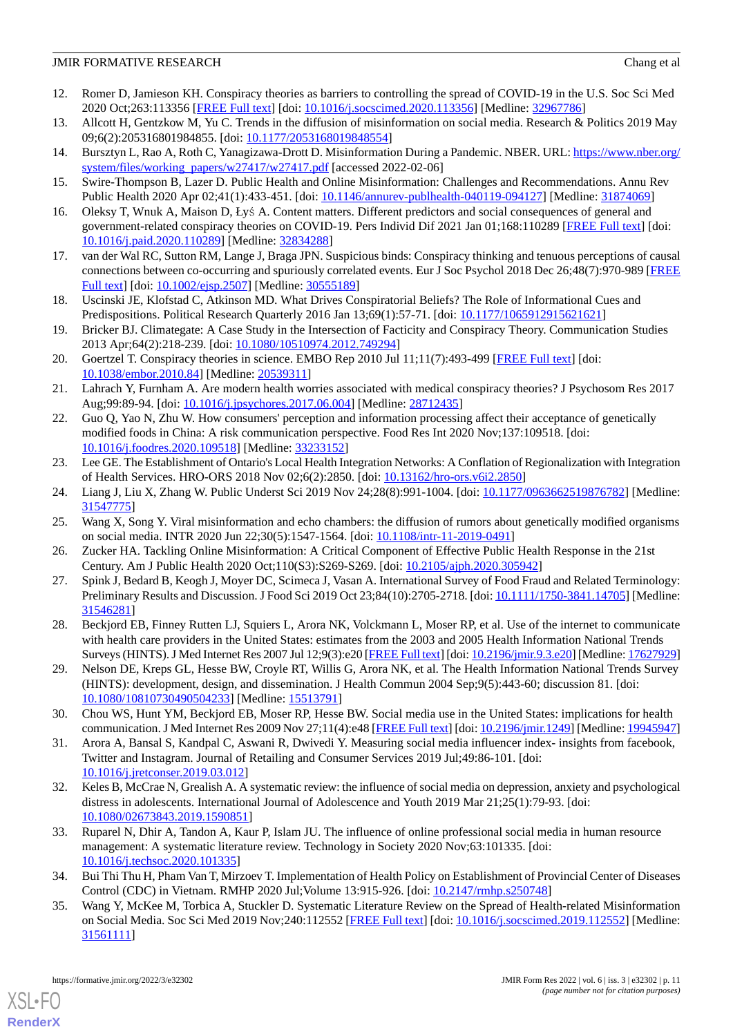- <span id="page-10-0"></span>12. Romer D, Jamieson KH. Conspiracy theories as barriers to controlling the spread of COVID-19 in the U.S. Soc Sci Med 2020 Oct;263:113356 [[FREE Full text](https://linkinghub.elsevier.com/retrieve/pii/S0277-9536(20)30575-X)] [doi: [10.1016/j.socscimed.2020.113356\]](http://dx.doi.org/10.1016/j.socscimed.2020.113356) [Medline: [32967786](http://www.ncbi.nlm.nih.gov/entrez/query.fcgi?cmd=Retrieve&db=PubMed&list_uids=32967786&dopt=Abstract)]
- <span id="page-10-1"></span>13. Allcott H, Gentzkow M, Yu C. Trends in the diffusion of misinformation on social media. Research & Politics 2019 May 09;6(2):205316801984855. [doi: [10.1177/2053168019848554](http://dx.doi.org/10.1177/2053168019848554)]
- <span id="page-10-2"></span>14. Bursztyn L, Rao A, Roth C, Yanagizawa-Drott D. Misinformation During a Pandemic. NBER. URL: [https://www.nber.org/](https://www.nber.org/system/files/working_papers/w27417/w27417.pdf) [system/files/working\\_papers/w27417/w27417.pdf](https://www.nber.org/system/files/working_papers/w27417/w27417.pdf) [accessed 2022-02-06]
- <span id="page-10-3"></span>15. Swire-Thompson B, Lazer D. Public Health and Online Misinformation: Challenges and Recommendations. Annu Rev Public Health 2020 Apr 02;41(1):433-451. [doi: [10.1146/annurev-publhealth-040119-094127\]](http://dx.doi.org/10.1146/annurev-publhealth-040119-094127) [Medline: [31874069](http://www.ncbi.nlm.nih.gov/entrez/query.fcgi?cmd=Retrieve&db=PubMed&list_uids=31874069&dopt=Abstract)]
- 16. Oleksy T, Wnuk A, Maison D, Łyś A. Content matters. Different predictors and social consequences of general and government-related conspiracy theories on COVID-19. Pers Individ Dif 2021 Jan 01;168:110289 [\[FREE Full text\]](http://europepmc.org/abstract/MED/32834288) [doi: [10.1016/j.paid.2020.110289](http://dx.doi.org/10.1016/j.paid.2020.110289)] [Medline: [32834288](http://www.ncbi.nlm.nih.gov/entrez/query.fcgi?cmd=Retrieve&db=PubMed&list_uids=32834288&dopt=Abstract)]
- <span id="page-10-4"></span>17. van der Wal RC, Sutton RM, Lange J, Braga JPN. Suspicious binds: Conspiracy thinking and tenuous perceptions of causal connections between co-occurring and spuriously correlated events. Eur J Soc Psychol 2018 Dec 26;48(7):970-989 [\[FREE](http://europepmc.org/abstract/MED/30555189) [Full text\]](http://europepmc.org/abstract/MED/30555189) [doi: [10.1002/ejsp.2507](http://dx.doi.org/10.1002/ejsp.2507)] [Medline: [30555189\]](http://www.ncbi.nlm.nih.gov/entrez/query.fcgi?cmd=Retrieve&db=PubMed&list_uids=30555189&dopt=Abstract)
- <span id="page-10-5"></span>18. Uscinski JE, Klofstad C, Atkinson MD. What Drives Conspiratorial Beliefs? The Role of Informational Cues and Predispositions. Political Research Quarterly 2016 Jan 13;69(1):57-71. [doi: [10.1177/1065912915621621](http://dx.doi.org/10.1177/1065912915621621)]
- <span id="page-10-6"></span>19. Bricker BJ. Climategate: A Case Study in the Intersection of Facticity and Conspiracy Theory. Communication Studies 2013 Apr;64(2):218-239. [doi: [10.1080/10510974.2012.749294\]](http://dx.doi.org/10.1080/10510974.2012.749294)
- <span id="page-10-7"></span>20. Goertzel T. Conspiracy theories in science. EMBO Rep 2010 Jul 11;11(7):493-499 [[FREE Full text](https://doi.org/10.1038/embor.2010.84)] [doi: [10.1038/embor.2010.84\]](http://dx.doi.org/10.1038/embor.2010.84) [Medline: [20539311\]](http://www.ncbi.nlm.nih.gov/entrez/query.fcgi?cmd=Retrieve&db=PubMed&list_uids=20539311&dopt=Abstract)
- <span id="page-10-8"></span>21. Lahrach Y, Furnham A. Are modern health worries associated with medical conspiracy theories? J Psychosom Res 2017 Aug;99:89-94. [doi: [10.1016/j.jpsychores.2017.06.004\]](http://dx.doi.org/10.1016/j.jpsychores.2017.06.004) [Medline: [28712435\]](http://www.ncbi.nlm.nih.gov/entrez/query.fcgi?cmd=Retrieve&db=PubMed&list_uids=28712435&dopt=Abstract)
- <span id="page-10-9"></span>22. Guo Q, Yao N, Zhu W. How consumers' perception and information processing affect their acceptance of genetically modified foods in China: A risk communication perspective. Food Res Int 2020 Nov;137:109518. [doi: [10.1016/j.foodres.2020.109518](http://dx.doi.org/10.1016/j.foodres.2020.109518)] [Medline: [33233152\]](http://www.ncbi.nlm.nih.gov/entrez/query.fcgi?cmd=Retrieve&db=PubMed&list_uids=33233152&dopt=Abstract)
- <span id="page-10-17"></span>23. Lee GE. The Establishment of Ontario's Local Health Integration Networks: A Conflation of Regionalization with Integration of Health Services. HRO-ORS 2018 Nov 02;6(2):2850. [doi: [10.13162/hro-ors.v6i2.2850](http://dx.doi.org/10.13162/hro-ors.v6i2.2850)]
- <span id="page-10-10"></span>24. Liang J, Liu X, Zhang W. Public Underst Sci 2019 Nov 24;28(8):991-1004. [doi: [10.1177/0963662519876782\]](http://dx.doi.org/10.1177/0963662519876782) [Medline: [31547775](http://www.ncbi.nlm.nih.gov/entrez/query.fcgi?cmd=Retrieve&db=PubMed&list_uids=31547775&dopt=Abstract)]
- <span id="page-10-11"></span>25. Wang X, Song Y. Viral misinformation and echo chambers: the diffusion of rumors about genetically modified organisms on social media. INTR 2020 Jun 22;30(5):1547-1564. [doi: [10.1108/intr-11-2019-0491\]](http://dx.doi.org/10.1108/intr-11-2019-0491)
- <span id="page-10-12"></span>26. Zucker HA. Tackling Online Misinformation: A Critical Component of Effective Public Health Response in the 21st Century. Am J Public Health 2020 Oct;110(S3):S269-S269. [doi: [10.2105/ajph.2020.305942](http://dx.doi.org/10.2105/ajph.2020.305942)]
- <span id="page-10-13"></span>27. Spink J, Bedard B, Keogh J, Moyer DC, Scimeca J, Vasan A. International Survey of Food Fraud and Related Terminology: Preliminary Results and Discussion. J Food Sci 2019 Oct 23;84(10):2705-2718. [doi: [10.1111/1750-3841.14705](http://dx.doi.org/10.1111/1750-3841.14705)] [Medline: [31546281](http://www.ncbi.nlm.nih.gov/entrez/query.fcgi?cmd=Retrieve&db=PubMed&list_uids=31546281&dopt=Abstract)]
- <span id="page-10-14"></span>28. Beckjord EB, Finney Rutten LJ, Squiers L, Arora NK, Volckmann L, Moser RP, et al. Use of the internet to communicate with health care providers in the United States: estimates from the 2003 and 2005 Health Information National Trends Surveys (HINTS). J Med Internet Res 2007 Jul 12;9(3):e20 [[FREE Full text\]](https://www.jmir.org/2007/3/e20/) [doi: [10.2196/jmir.9.3.e20\]](http://dx.doi.org/10.2196/jmir.9.3.e20) [Medline: [17627929\]](http://www.ncbi.nlm.nih.gov/entrez/query.fcgi?cmd=Retrieve&db=PubMed&list_uids=17627929&dopt=Abstract)
- <span id="page-10-15"></span>29. Nelson DE, Kreps GL, Hesse BW, Croyle RT, Willis G, Arora NK, et al. The Health Information National Trends Survey (HINTS): development, design, and dissemination. J Health Commun 2004 Sep;9(5):443-60; discussion 81. [doi: [10.1080/10810730490504233\]](http://dx.doi.org/10.1080/10810730490504233) [Medline: [15513791\]](http://www.ncbi.nlm.nih.gov/entrez/query.fcgi?cmd=Retrieve&db=PubMed&list_uids=15513791&dopt=Abstract)
- 30. Chou WS, Hunt YM, Beckjord EB, Moser RP, Hesse BW. Social media use in the United States: implications for health communication. J Med Internet Res 2009 Nov 27;11(4):e48 [\[FREE Full text](https://www.jmir.org/2009/4/e48/)] [doi: [10.2196/jmir.1249](http://dx.doi.org/10.2196/jmir.1249)] [Medline: [19945947](http://www.ncbi.nlm.nih.gov/entrez/query.fcgi?cmd=Retrieve&db=PubMed&list_uids=19945947&dopt=Abstract)]
- <span id="page-10-16"></span>31. Arora A, Bansal S, Kandpal C, Aswani R, Dwivedi Y. Measuring social media influencer index- insights from facebook, Twitter and Instagram. Journal of Retailing and Consumer Services 2019 Jul;49:86-101. [doi: [10.1016/j.jretconser.2019.03.012](http://dx.doi.org/10.1016/j.jretconser.2019.03.012)]
- <span id="page-10-18"></span>32. Keles B, McCrae N, Grealish A. A systematic review: the influence of social media on depression, anxiety and psychological distress in adolescents. International Journal of Adolescence and Youth 2019 Mar 21;25(1):79-93. [doi: [10.1080/02673843.2019.1590851\]](http://dx.doi.org/10.1080/02673843.2019.1590851)
- <span id="page-10-19"></span>33. Ruparel N, Dhir A, Tandon A, Kaur P, Islam JU. The influence of online professional social media in human resource management: A systematic literature review. Technology in Society 2020 Nov;63:101335. [doi: [10.1016/j.techsoc.2020.101335](http://dx.doi.org/10.1016/j.techsoc.2020.101335)]
- 34. Bui Thi Thu H, Pham Van T, Mirzoev T. Implementation of Health Policy on Establishment of Provincial Center of Diseases Control (CDC) in Vietnam. RMHP 2020 Jul;Volume 13:915-926. [doi: [10.2147/rmhp.s250748\]](http://dx.doi.org/10.2147/rmhp.s250748)
- 35. Wang Y, McKee M, Torbica A, Stuckler D. Systematic Literature Review on the Spread of Health-related Misinformation on Social Media. Soc Sci Med 2019 Nov;240:112552 [\[FREE Full text\]](https://linkinghub.elsevier.com/retrieve/pii/S0277-9536(19)30546-5) [doi: [10.1016/j.socscimed.2019.112552\]](http://dx.doi.org/10.1016/j.socscimed.2019.112552) [Medline: [31561111](http://www.ncbi.nlm.nih.gov/entrez/query.fcgi?cmd=Retrieve&db=PubMed&list_uids=31561111&dopt=Abstract)]